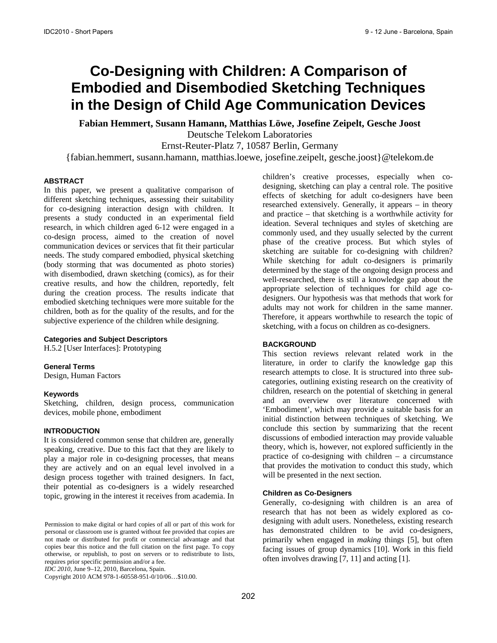# **Co-Designing with Children: A Comparison of Embodied and Disembodied Sketching Techniques in the Design of Child Age Communication Devices**

**Fabian Hemmert, Susann Hamann, Matthias Löwe, Josefine Zeipelt, Gesche Joost** 

Deutsche Telekom Laboratories Ernst-Reuter-Platz 7, 10587 Berlin, Germany {fabian.hemmert, susann.hamann, matthias.loewe, josefine.zeipelt, gesche.joost}@telekom.de

## **ABSTRACT**

In this paper, we present a qualitative comparison of different sketching techniques, assessing their suitability for co-designing interaction design with children. It presents a study conducted in an experimental field research, in which children aged 6-12 were engaged in a co-design process, aimed to the creation of novel communication devices or services that fit their particular needs. The study compared embodied, physical sketching (body storming that was documented as photo stories) with disembodied, drawn sketching (comics), as for their creative results, and how the children, reportedly, felt during the creation process. The results indicate that embodied sketching techniques were more suitable for the children, both as for the quality of the results, and for the subjective experience of the children while designing.

#### **Categories and Subject Descriptors**

H.5.2 [User Interfaces]: Prototyping

#### **General Terms**

Design, Human Factors

#### **Keywords**

Sketching, children, design process, communication devices, mobile phone, embodiment

## **INTRODUCTION**

It is considered common sense that children are, generally speaking, creative. Due to this fact that they are likely to play a major role in co-designing processes, that means they are actively and on an equal level involved in a design process together with trained designers. In fact, their potential as co-designers is a widely researched topic, growing in the interest it receives from academia. In

*IDC 2010*, June 9–12, 2010, Barcelona, Spain.

Copyright 2010 ACM 978-1-60558-951-0/10/06…\$10.00.

children's creative processes, especially when codesigning, sketching can play a central role. The positive effects of sketching for adult co-designers have been researched extensively. Generally, it appears – in theory and practice – that sketching is a worthwhile activity for ideation. Several techniques and styles of sketching are commonly used, and they usually selected by the current phase of the creative process. But which styles of sketching are suitable for co-designing with children? While sketching for adult co-designers is primarily determined by the stage of the ongoing design process and well-researched, there is still a knowledge gap about the appropriate selection of techniques for child age codesigners. Our hypothesis was that methods that work for adults may not work for children in the same manner. Therefore, it appears worthwhile to research the topic of sketching, with a focus on children as co-designers. 2020. Barthage Mathematics **Co-Designing with Children: A Comparison of** Embodient Schema, and the **Embodient Schemation in the Children** Schematics and Discussion (Schematics and Discussion (Schematics and Discussion (Sc

#### **BACKGROUND**

This section reviews relevant related work in the literature, in order to clarify the knowledge gap this research attempts to close. It is structured into three subcategories, outlining existing research on the creativity of children, research on the potential of sketching in general and an overview over literature concerned with 'Embodiment', which may provide a suitable basis for an initial distinction between techniques of sketching. We conclude this section by summarizing that the recent discussions of embodied interaction may provide valuable theory, which is, however, not explored sufficiently in the practice of co-designing with children – a circumstance that provides the motivation to conduct this study, which will be presented in the next section.

#### **Children as Co-Designers**

Generally, co-designing with children is an area of research that has not been as widely explored as codesigning with adult users. Nonetheless, existing research has demonstrated children to be avid co-designers, primarily when engaged in *making* things [5], but often facing issues of group dynamics [10]. Work in this field often involves drawing [7, 11] and acting [1].

Permission to make digital or hard copies of all or part of this work for personal or classroom use is granted without fee provided that copies are not made or distributed for profit or commercial advantage and that copies bear this notice and the full citation on the first page. To copy otherwise, or republish, to post on servers or to redistribute to lists, requires prior specific permission and/or a fee.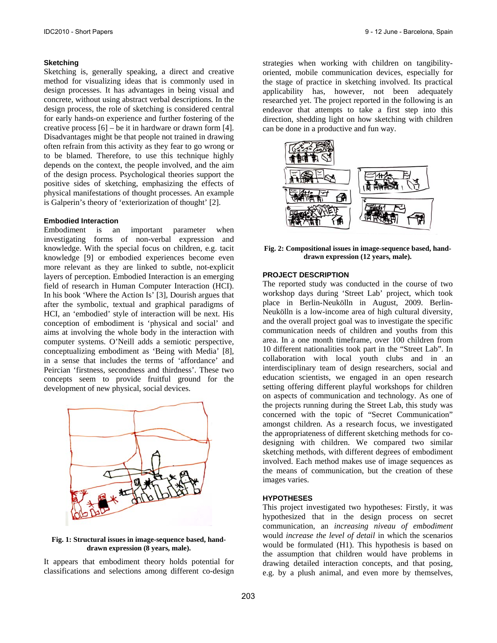## **Sketching**

Sketching is, generally speaking, a direct and creative method for visualizing ideas that is commonly used in design processes. It has advantages in being visual and concrete, without using abstract verbal descriptions. In the design process, the role of sketching is considered central for early hands-on experience and further fostering of the creative process [6] – be it in hardware or drawn form [4]. Disadvantages might be that people not trained in drawing often refrain from this activity as they fear to go wrong or to be blamed. Therefore, to use this technique highly depends on the context, the people involved, and the aim of the design process. Psychological theories support the positive sides of sketching, emphasizing the effects of physical manifestations of thought processes. An example is Galperin's theory of 'exteriorization of thought' [2].

### **Embodied Interaction**

Embodiment is an important parameter when investigating forms of non-verbal expression and knowledge. With the special focus on children, e.g. tacit knowledge [9] or embodied experiences become even more relevant as they are linked to subtle, not-explicit layers of perception. Embodied Interaction is an emerging field of research in Human Computer Interaction (HCI). In his book 'Where the Action Is' [3], Dourish argues that after the symbolic, textual and graphical paradigms of HCI, an 'embodied' style of interaction will be next. His conception of embodiment is 'physical and social' and aims at involving the whole body in the interaction with computer systems. O'Neill adds a semiotic perspective, conceptualizing embodiment as 'Being with Media' [8], in a sense that includes the terms of 'affordance' and Peircian 'firstness, secondness and thirdness'. These two concepts seem to provide fruitful ground for the development of new physical, social devices.



## **Fig. 1: Structural issues in image-sequence based, handdrawn expression (8 years, male).**

It appears that embodiment theory holds potential for classifications and selections among different co-design

strategies when working with children on tangibilityoriented, mobile communication devices, especially for the stage of practice in sketching involved. Its practical applicability has, however, not been adequately researched yet. The project reported in the following is an endeavor that attempts to take a first step into this direction, shedding light on how sketching with children can be done in a productive and fun way.



**Fig. 2: Compositional issues in image-sequence based, handdrawn expression (12 years, male).** 

#### **PROJECT DESCRIPTION**

The reported study was conducted in the course of two workshop days during 'Street Lab' project, which took place in Berlin-Neukölln in August, 2009. Berlin-Neukölln is a low-income area of high cultural diversity, and the overall project goal was to investigate the specific communication needs of children and youths from this area. In a one month timeframe, over 100 children from 10 different nationalities took part in the "Street Lab". In collaboration with local youth clubs and in an interdisciplinary team of design researchers, social and education scientists, we engaged in an open research setting offering different playful workshops for children on aspects of communication and technology. As one of the projects running during the Street Lab, this study was concerned with the topic of "Secret Communication" amongst children. As a research focus, we investigated the appropriateness of different sketching methods for codesigning with children. We compared two similar sketching methods, with different degrees of embodiment involved. Each method makes use of image sequences as the means of communication, but the creation of these images varies. 2020.13 - Bar Research specific specific specific specific specific specific specific specific specific specific specific specific specific specific specific specific specific specific specific specific specific specific

#### **HYPOTHESES**

This project investigated two hypotheses: Firstly, it was hypothesized that in the design process on secret communication, an *increasing niveau of embodiment* would *increase the level of detail* in which the scenarios would be formulated (H1). This hypothesis is based on the assumption that children would have problems in drawing detailed interaction concepts, and that posing, e.g. by a plush animal, and even more by themselves,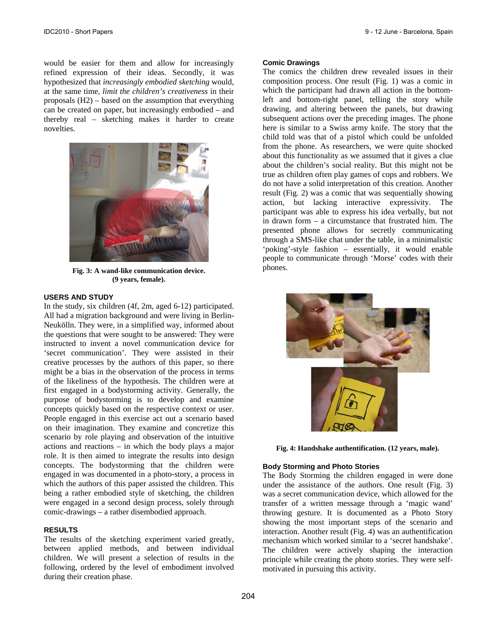would be easier for them and allow for increasingly refined expression of their ideas. Secondly, it was hypothesized that *increasingly embodied sketching* would, at the same time, *limit the children's creativeness* in their proposals (H2) – based on the assumption that everything can be created on paper, but increasingly embodied – and thereby real – sketching makes it harder to create novelties.



**Fig. 3: A wand-like communication device. (9 years, female).** 

## **USERS AND STUDY**

In the study, six children (4f, 2m, aged 6-12) participated. All had a migration background and were living in Berlin-Neukölln. They were, in a simplified way, informed about the questions that were sought to be answered: They were instructed to invent a novel communication device for 'secret communication'. They were assisted in their creative processes by the authors of this paper, so there might be a bias in the observation of the process in terms of the likeliness of the hypothesis. The children were at first engaged in a bodystorming activity. Generally, the purpose of bodystorming is to develop and examine concepts quickly based on the respective context or user. People engaged in this exercise act out a scenario based on their imagination. They examine and concretize this scenario by role playing and observation of the intuitive actions and reactions – in which the body plays a major role. It is then aimed to integrate the results into design concepts. The bodystorming that the children were engaged in was documented in a photo-story, a process in which the authors of this paper assisted the children. This being a rather embodied style of sketching, the children were engaged in a second design process, solely through comic-drawings – a rather disembodied approach. 2046.1. **3**24 IDC (1963) - 12 June - International Come Denviron Socialization devices in the state of the state of the state of the state of the state of the state of the state of the state of the state of the state of t

## **RESULTS**

The results of the sketching experiment varied greatly, between applied methods, and between individual children. We will present a selection of results in the following, ordered by the level of embodiment involved during their creation phase.

#### **Comic Drawings**

The comics the children drew revealed issues in their composition process. One result (Fig. 1) was a comic in which the participant had drawn all action in the bottomleft and bottom-right panel, telling the story while drawing, and altering between the panels, but drawing subsequent actions over the preceding images. The phone here is similar to a Swiss army knife. The story that the child told was that of a pistol which could be unfolded from the phone. As researchers, we were quite shocked about this functionality as we assumed that it gives a clue about the children's social reality. But this might not be true as children often play games of cops and robbers. We do not have a solid interpretation of this creation. Another result (Fig. 2) was a comic that was sequentially showing action, but lacking interactive expressivity. The participant was able to express his idea verbally, but not in drawn form – a circumstance that frustrated him. The presented phone allows for secretly communicating through a SMS-like chat under the table, in a minimalistic 'poking'-style fashion – essentially, it would enable people to communicate through 'Morse' codes with their phones.



**Fig. 4: Handshake authentification. (12 years, male).** 

### **Body Storming and Photo Stories**

The Body Storming the children engaged in were done under the assistance of the authors. One result (Fig. 3) was a secret communication device, which allowed for the transfer of a written message through a 'magic wand' throwing gesture. It is documented as a Photo Story showing the most important steps of the scenario and interaction. Another result (Fig. 4) was an authentification mechanism which worked similar to a 'secret handshake'. The children were actively shaping the interaction principle while creating the photo stories. They were selfmotivated in pursuing this activity.